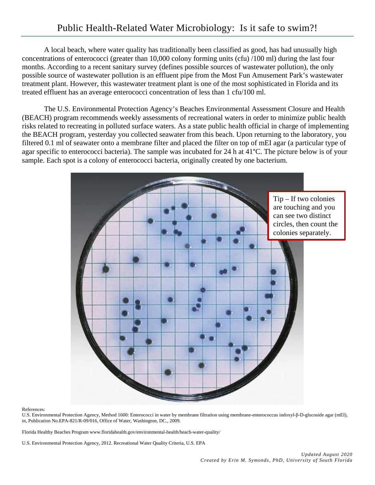A local beach, where water quality has traditionally been classified as good, has had unusually high concentrations of enterococci (greater than 10,000 colony forming units (cfu) /100 ml) during the last four months. According to a recent sanitary survey (defines possible sources of wastewater pollution), the only possible source of wastewater pollution is an effluent pipe from the Most Fun Amusement Park's wastewater treatment plant. However, this wastewater treatment plant is one of the most sophisticated in Florida and its treated effluent has an average enterococci concentration of less than 1 cfu/100 ml.

The U.S. Environmental Protection Agency's Beaches Environmental Assessment Closure and Health (BEACH) program recommends weekly assessments of recreational waters in order to minimize public health risks related to recreating in polluted surface waters. As a state public health official in charge of implementing the BEACH program, yesterday you collected seawater from this beach. Upon returning to the laboratory, you filtered 0.1 ml of seawater onto a membrane filter and placed the filter on top of mEI agar (a particular type of agar specific to enterococci bacteria). The sample was incubated for 24 h at 41°C. The picture below is of your sample. Each spot is a colony of enterococci bacteria, originally created by one bacterium.



References:

U.S. Environmental Protection Agency, Method 1600: Enterococci in water by membrane filtration using membrane-enterococcus indoxyl-β-D-glucoside agar (mEI), in, Publication No.EPA-821/R-09/016, Office of Water, Washington, DC., 2009.

Florida Healthy Beaches Program www.floridahealth.gov/environmental-health/beach-water-quality/

U.S. Environmental Protection Agency, 2012. Recreational Water Quality Criteria, U.S. EPA